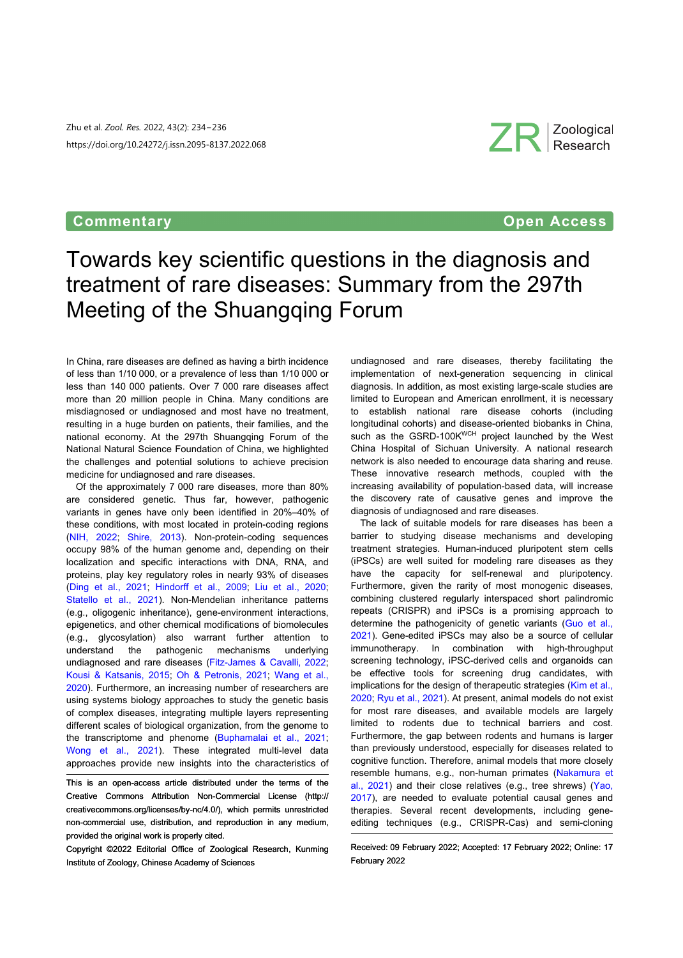Zhu et al. *Zool. Res.* 2022, 43(2): 234−236 https://doi.org/10.24272/j.issn.2095-8137.2022.068

## **Commentary Commentary Commentary Commentary Open Access**

ZR Zoological

# Towards key scientific questions in the diagnosis and treatment of rare diseases: Summary from the 297th Meeting of the Shuangqing Forum

In China, rare diseases are defined as having a birth incidence of less than 1/10 000, or a prevalence of less than 1/10 000 or less than 140  000 patients. Over 7  000 rare diseases affect more than 20 million people in China. Many conditions are misdiagnosed or undiagnosed and most have no treatment, resulting in a huge burden on patients, their families, and the national economy. At the 297th Shuangqing Forum of the National Natural Science Foundation of China, we highlighted the challenges and potential solutions to achieve precision medicine for undiagnosed and rare diseases.

Of the approximately 7  000 rare diseases, more than 80% are considered genetic. Thus far, however, pathogenic variants in genes have only been identified in 20%–40% of these conditions, with most located in protein-coding regions [\(NIH, 2022](#page-2-0); [Shire, 2013](#page-2-1)). Non-protein-coding sequences occupy 98% of the human genome and, depending on their localization and specific interactions with DNA, RNA, and proteins, play key regulatory roles in nearly 93% of diseases [\(Ding et al., 202](#page-1-0)1; [Hindorff et al., 200](#page-1-1)9; [Liu et al., 202](#page-1-2)0; [Statello et al., 20](#page-2-2)21). Non-Mendelian inheritance patterns (e.g., oligogenic inheritance), gene-environment interactions, epigenetics, and other chemical modifications of biomolecules (e.g., glycosylation) also warrant further attention to understand the pathogenic mechanisms underlying undiagnosed and rare diseases ([Fitz-James & Cavalli, 2022](#page-1-3); [Kousi & Katsanis, 201](#page-1-4)5; [Oh & Petronis, 202](#page-2-3)1; [Wang et al.](#page-2-4), [2020](#page-2-4)). Furthermore, an increasing number of researchers are using systems biology approaches to study the genetic basis of complex diseases, integrating multiple layers representing different scales of biological organization, from the genome to thetranscriptome and phenome (Buphamalai et al., 2021; Wong et al., 2021). These integrated multi-level data approaches provide new insights into the characteristics of

This is an open-access article distributed under the terms of the Creative Commons Attribution Non-Commercial License [\(http://](http://creativecommons.org/licenses/by-nc/4.0/) [creativecommons.org/licenses/by](http://creativecommons.org/licenses/by-nc/4.0/)-[nc/4.0/](http://creativecommons.org/licenses/by-nc/4.0/)), which permits unrestricted non-commercial use, distribution, and reproduction in any medium, provided the original work is properly cited.

Copyright ©2022 Editorial Office of Zoological Research, Kunming Institute of Zoology, Chinese Academy of Sciences

undiagnosed and rare diseases, thereby facilitating the implementation of next-generation sequencing in clinical diagnosis. In addition, as most existing large-scale studies are limited to European and American enrollment, it is necessary to establish national rare disease cohorts (including longitudinal cohorts) and disease-oriented biobanks in China, such as the GSRD-100KWCH project launched by the West China Hospital of Sichuan University. A national research network is also needed to encourage data sharing and reuse. These innovative research methods, coupled with the increasing availability of population-based data, will increase the discovery rate of causative genes and improve the diagnosis of undiagnosed and rare diseases.

The lack of suitable models for rare diseases has been a barrier to studying disease mechanisms and developing treatment strategies. Human-induced pluripotent stem cells (iPSCs) are well suited for modeling rare diseases as they have the capacity for self-renewal and pluripotency. Furthermore, given the rarity of most monogenic diseases, combining clustered regularly interspaced short palindromic repeats (CRISPR) and iPSCs is a promising approach to determinethe pathogenicity of genetic variants (Guo et al., [2021\)](#page-1-6). Gene-edited iPSCs may also be a source of cellular immunotherapy. In combination with high-throughput screening technology, iPSC-derived cells and organoids can be effective tools for screening drug candidates, with implications for the design of therapeutic strategies ([Kim et al.,](#page-1-7) [2020;](#page-1-7) [Ryu et al., 2021\)](#page-2-6). At present, animal models do not exist for most rare diseases, and available models are largely limited to rodents due to technical barriers and cost. Furthermore, the gap between rodents and humans is larger than previously understood, especially for diseases related to cognitive function. Therefore, animal models that more closely resemble humans, e.g., non-human primates [\(Nakamura et](#page-2-7) [al., 2021](#page-2-7)) and their close relatives (e.g., tree shrews) [\(Yao,](#page-2-8) [2017\)](#page-2-8), are needed to evaluate potential causal genes and therapies. Several recent developments, including geneediting techniques (e.g., CRISPR-Cas) and semi-cloning

Received: 09 February 2022; Accepted: 17 February 2022; Online: 17 February 2022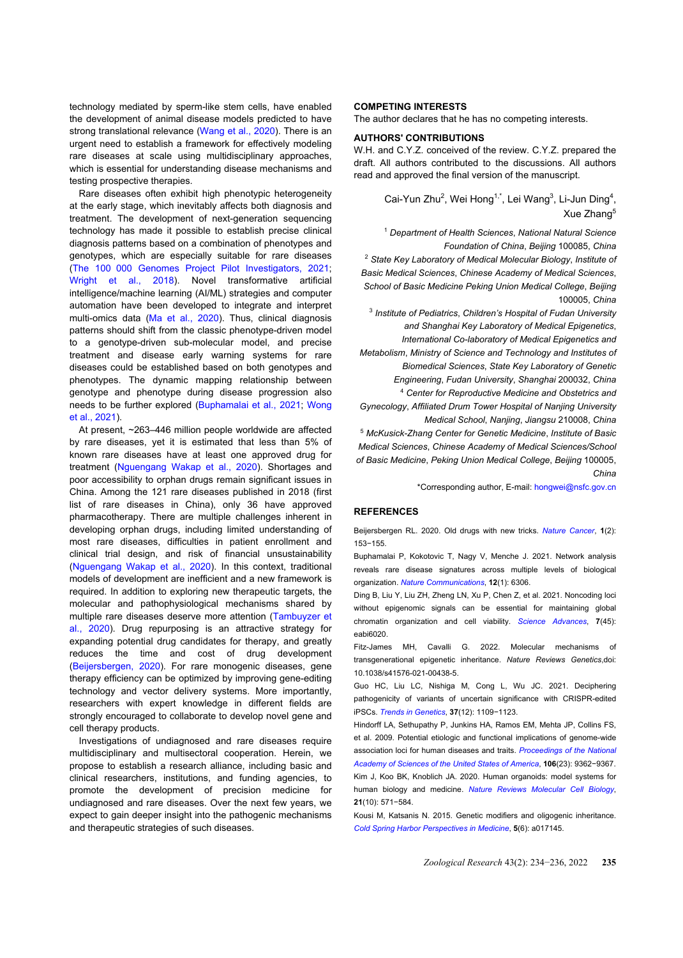technology mediated by sperm-like stem cells, have enabled the development of animal disease models predicted to have strong translational relevance [\(Wang et al., 2020](#page-2-4)). There is an urgent need to establish a framework for effectively modeling rare diseases at scale using multidisciplinary approaches, which is essential for understanding disease mechanisms and testing prospective therapies.

Rare diseases often exhibit high phenotypic heterogeneity at the early stage, which inevitably affects both diagnosis and treatment. The development of next-generation sequencing technology has made it possible to establish precise clinical diagnosis patterns based on a combination of phenotypes and genotypes, which are especially suitable for rare diseases [\(The 100  000 Genomes Project Pilot Investigators,](#page-2-9) 2021; [Wright et al.,](#page-2-10) 2018). Novel transformative artificial intelligence/machine learning (AI/ML) strategies and computer automation have been developed to integrate and interpret multi-omics data ([Ma et al., 202](#page-2-11)0). Thus, clinical diagnosis patterns should shift from the classic phenotype-driven model to a genotype-driven sub-molecular model, and precise treatment and disease early warning systems for rare diseases could be established based on both genotypes and phenotypes. The dynamic mapping relationship between genotype and phenotype during disease progression also needs to be further explored [\(Buphamalai et al., 2021](#page-1-5); [Wong](#page-2-5) [et al., 2021](#page-2-5)).

At present, ~263–446 million people worldwide are affected by rare diseases, yet it is estimated that less than 5% of known rare diseases have at least one approved drug for treatment [\(Nguengang Wakap et al., 202](#page-2-12)0). Shortages and poor accessibility to orphan drugs remain significant issues in China. Among the 121 rare diseases published in 2018 (first list of rare diseases in China), only 36 have approved pharmacotherapy. There are multiple challenges inherent in developing orphan drugs, including limited understanding of most rare diseases, difficulties in patient enrollment and clinical trial design, and risk of financial unsustainability [\(Nguengang Wakap et al., 202](#page-2-12)0). In this context, traditional models of development are inefficient and a new framework is required. In addition to exploring new therapeutic targets, the molecular and pathophysiological mechanisms shared by multiple rare diseases deserve more attention ([Tambuyzer et](#page-2-13) [al., 2020](#page-2-13)). Drug repurposing is an attractive strategy for expanding potential drug candidates for therapy, and greatly reduces the time and cost of drug development [\(Beijersbergen, 2020](#page-1-8)). For rare monogenic diseases, gene therapy efficiency can be optimized by improving gene-editing technology and vector delivery systems. More importantly, researchers with expert knowledge in different fields are strongly encouraged to collaborate to develop novel gene and cell therapy products.

Investigations of undiagnosed and rare diseases require multidisciplinary and multisectoral cooperation. Herein, we propose to establish a research alliance, including basic and clinical researchers, institutions, and funding agencies, to promote the development of precision medicine for undiagnosed and rare diseases. Over the next few years, we expect to gain deeper insight into the pathogenic mechanisms and therapeutic strategies of such diseases.

#### **COMPETING INTERESTS**

The author declares that he has no competing interests.

#### **AUTHORS' CONTRIBUTIONS**

W.H. and C.Y.Z. conceived of the review. C.Y.Z. prepared the draft. All authors contributed to the discussions. All authors read and approved the final version of the manuscript.

> Cai-Yun Zhu<sup>2</sup>, Wei Hong<sup>1,\*</sup>, Lei Wang<sup>3</sup>, Li-Jun Ding<sup>4</sup>, Xue Zhang<sup>5</sup>

<sup>1</sup> *Department of Health Sciences*, *National Natural Science Foundation of China*, *Beijing* 100085, *China* <sup>2</sup> *State Key Laboratory of Medical Molecular Biology*, *Institute of Basic Medical Sciences*, *Chinese Academy of Medical Sciences*, *School of Basic Medicine Peking Union Medical College*, *Beijing* 100005, *China*

3 *Institute of Pediatrics*, *Children's Hospital of Fudan University and Shanghai Key Laboratory of Medical Epigenetics*, *International Co-laboratory of Medical Epigenetics and Metabolism*, *Ministry of Science and Technology and Institutes of*

*Biomedical Sciences*, *State Key Laboratory of Genetic Engineering*, *Fudan University*, *Shanghai* 200032, *China*

<sup>4</sup> *Center for Reproductive Medicine and Obstetrics and Gynecology*, *Affiliated Drum Tower Hospital of Nanjing University*

*Medical School*, *Nanjing*, *Jiangsu* 210008, *China*

<sup>5</sup> *McKusick-Zhang Center for Genetic Medicine*, *Institute of Basic Medical Sciences*, *Chinese Academy of Medical Sciences/School of Basic Medicine*, *Peking Union Medical College*, *Beijing* 100005, *China*

\*Corresponding author, E-mail: [hongwei@nsfc.gov.cn](mailto:hongwei@nsfc.gov.cn)

### <span id="page-1-8"></span>**REFERENCES**

<span id="page-1-5"></span>Beijersbergen RL. 2020. Old drugs with new tricks. *[Nature Cancer](https://doi.org/10.1038/s43018-020-0024-8)*, **1**(2): 153−155.

Buphamalai P, Kokotovic T, Nagy V, Menche J. 2021. Network analysis reveals rare disease signatures across multiple levels of biological organization. *[Nature Communications](https://doi.org/10.1038/s41467-021-26674-1)*, **12**(1): 6306.

<span id="page-1-0"></span>Ding B, Liu Y, Liu ZH, Zheng LN, Xu P, Chen Z, et al. 2021. Noncoding loci without epigenomic signals can be essential for maintaining global chromatin organization and cell viability. *[Science Advance](https://doi.org/10.1126/sciadv.abi6020)s*, **7**(45): eabi6020.

<span id="page-1-3"></span>Fitz-James MH, Cavalli G. 2022. Molecular mechanisms of transgenerational epigenetic inheritance. *Nature Reviews Genetics*,doi: 10.1038/s41576-021-00438-5.

<span id="page-1-6"></span>Guo HC, Liu LC, Nishiga M, Cong L, Wu JC. 2021. Deciphering pathogenicity of variants of uncertain significance with CRISPR-edited iPSCs. *[Trends in Genetics](https://doi.org/10.1016/j.tig.2021.08.009)*, **37**(12): 1109−1123.

<span id="page-1-7"></span><span id="page-1-1"></span>Hindorff LA, Sethupathy P, Junkins HA, Ramos EM, Mehta JP, Collins FS, et al. 2009. Potential etiologic and functional implications of genome-wide association loci for human diseases and traits. *[Proceedings of the Nationa](https://doi.org/10.1073/pnas.0903103106)l [Academy of Sciences of the United States of America](https://doi.org/10.1073/pnas.0903103106)*, **106**(23): 9362−9367. Kim J, Koo BK, Knoblich JA. 2020. Human organoids: model systems for human biology and medicine. *[Nature Reviews Molecular Cell Biolo](https://doi.org/10.1038/s41580-020-0259-3)gy*, **21**(10): 571−584.

<span id="page-1-4"></span><span id="page-1-2"></span>Kousi M, Katsanis N. 2015. Genetic modifiers and oligogenic inheritance. *[Cold Spring Harbor Perspectives in Medicine](https://doi.org/10.1101/cshperspect.a017145)*, **5**(6): a017145.